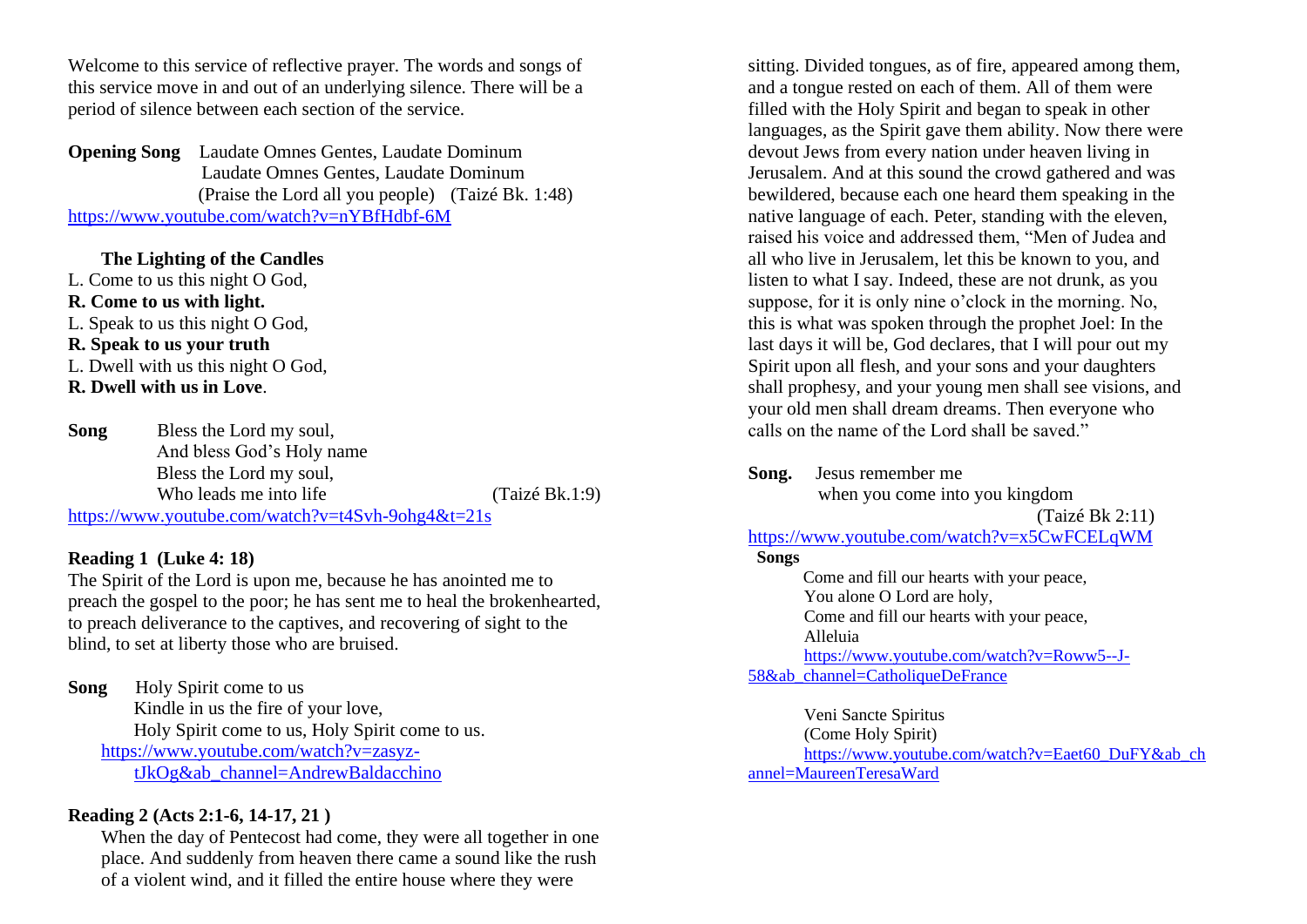Welcome to this service of reflective prayer. The words and songs of this service move in and out of an underlying silence. There will be a period of silence between each section of the service.

**Opening Song** Laudate Omnes Gentes, Laudate Dominum Laudate Omnes Gentes, Laudate Dominum (Praise the Lord all you people) (Taizé Bk. 1:48) <https://www.youtube.com/watch?v=nYBfHdbf-6M>

**The Lighting of the Candles**

L. Come to us this night O God, **R. Come to us with light.** L. Speak to us this night O God, **R. Speak to us your truth** L. Dwell with us this night O God, **R. Dwell with us in Love**.

**Song** Bless the Lord my soul, And bless God's Holy name Bless the Lord my soul, Who leads me into life (Taizé Bk.1:9) <https://www.youtube.com/watch?v=t4Svh-9ohg4&t=21s>

## **Reading 1 (Luke 4: 18)**

The Spirit of the Lord is upon me, because he has anointed me to preach the gospel to the poor; he has sent me to heal the brokenhearted, to preach deliverance to the captives, and recovering of sight to the blind, to set at liberty those who are bruised.

**Song** Holy Spirit come to us Kindle in us the fire of your love, Holy Spirit come to us, Holy Spirit come to us. [https://www.youtube.com/watch?v=zasyz](https://www.youtube.com/watch?v=zasyz-tJkOg&ab_channel=AndrewBaldacchino)[tJkOg&ab\\_channel=AndrewBaldacchino](https://www.youtube.com/watch?v=zasyz-tJkOg&ab_channel=AndrewBaldacchino)

# **Reading 2 (Acts 2:1-6, 14-17, 21 )**

When the day of Pentecost had come, they were all together in one place. And suddenly from heaven there came a sound like the rush of a violent wind, and it filled the entire house where they were

sitting. Divided tongues, as of fire, appeared among them, and a tongue rested on each of them. All of them were filled with the Holy Spirit and began to speak in other languages, as the Spirit gave them ability. Now there were devout Jews from every nation under heaven living in Jerusalem. And at this sound the crowd gathered and was bewildered, because each one heard them speaking in the native language of each. Peter, standing with the eleven, raised his voice and addressed them, "Men of Judea and all who live in Jerusalem, let this be known to you, and listen to what I say. Indeed, these are not drunk, as you suppose, for it is only nine o'clock in the morning. No, this is what was spoken through the prophet Joel: In the last days it will be, God declares, that I will pour out my Spirit upon all flesh, and your sons and your daughters shall prophesy, and your young men shall see visions, and your old men shall dream dreams. Then everyone who calls on the name of the Lord shall be saved."

**Song.** Jesus remember me

when you come into you kingdom

(Taizé Bk 2:11)

<https://www.youtube.com/watch?v=x5CwFCELqWM>

#### **Songs**

Come and fill our hearts with your peace, You alone O Lord are holy, Come and fill our hearts with your peace, Alleluia [https://www.youtube.com/watch?v=Roww5--J-](https://www.youtube.com/watch?v=Roww5--J-58&ab_channel=CatholiqueDeFrance)[58&ab\\_channel=CatholiqueDeFrance](https://www.youtube.com/watch?v=Roww5--J-58&ab_channel=CatholiqueDeFrance)

Veni Sancte Spiritus (Come Holy Spirit) [https://www.youtube.com/watch?v=Eaet60\\_DuFY&ab\\_ch](https://www.youtube.com/watch?v=Eaet60_DuFY&ab_channel=MaureenTeresaWard) [annel=MaureenTeresaWard](https://www.youtube.com/watch?v=Eaet60_DuFY&ab_channel=MaureenTeresaWard)